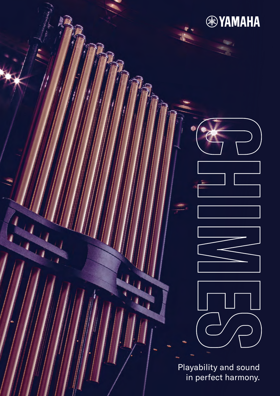

**®YAMAHA** 

Playability and sound in perfect harmony.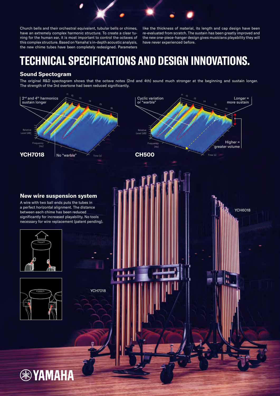Church bells and their orchestral equivalent, tubular bells or chimes, have an extremely complex harmonic structure. To create a clear tuning for the human ear, it is most important to control the octaves of this complex structure. Based on Yamaha's in-depth acoustic analysis, the new chime tubes have been completely redesigned. Parameters

like the thickness of material, its length and cap design have been re-evaluated from scratch. The sustain has been greatly improved and the new one-piece-hanger design gives musicians playability they will have never experienced before.

# **TECHNICAL SPECIFICATIONS AND DESIGN INNOVATIONS.**

### **Sound Spectogram**

The original R&D spectogram shows that the octave notes (2nd and 4th) sound much stronger at the beginning and sustain longer. The strength of the 3rd overtone had been reduced significantly.

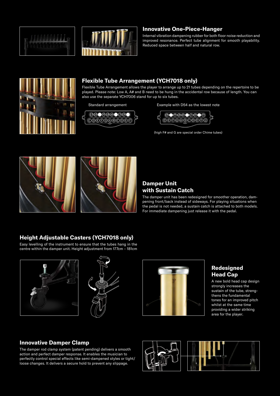



### **Innovative One-Piece-Hanger**

Internal vibration dampening rubber for both floor noise reduction and improved resonance. Perfect tube alignment for smooth playability. Reduced space between half and natural row.



## **Flexible Tube Arrangement (YCH7018 only)**

Flexible Tube Arrangement allows the player to arrange up to 21 tubes depending on the repertoire to be played. Please note: Low A, A# and B need to be hung in the accidental row because of length. You can also use the separate YCH7006 stand for up to six tubes.



Standard arrangement **Example with D54** as the lowest note



(high F# and G are special order Chime tubes)



# **Damper Unit with Sustain Catch**

The damper unit has been redesigned for smoother operation, dampening front/back instead of sideways. For playing situations when the pedal is not needed, a sustain catch is attached to both models. For immediate dampening just release it with the pedal.

## **Height Adjustable Casters (YCH7018 only)**

Easy levelling of the instrument to ensure that the tubes hang in the centre within the damper unit. Height adjustment from 177cm – 181cm







# **Redesigned Head Cap**

A new bold head cap design strongly increases the sustain of the tube, strengthens the fundamental tones for an improved pitch whilst at the same time providing a wider striking area for the player.

#### **Innovative Damper Clamp**

The damper rod clamp system (patent pending) delivers a smooth action and perfect damper response. It enables the musician to perfectly control special effects like semi-dampened styles or tight/ loose changes. It delivers a secure hold to prevent any slippage.